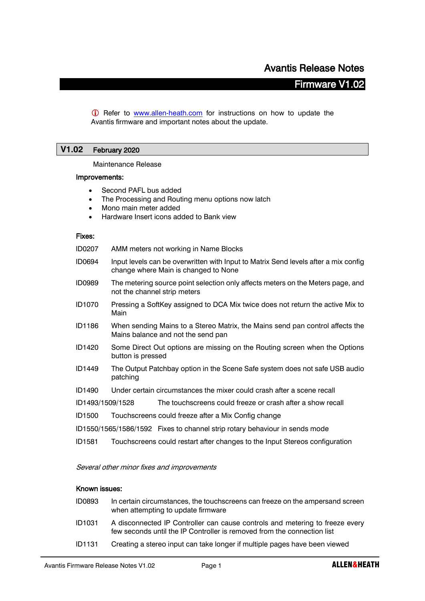# Firmware V1.02

**C** Refer to [www.allen-heath.com](http://www.allen-heath.com/) for instructions on how to update the Avantis firmware and important notes about the update.

# **V1.02** February 2020

Maintenance Release

#### Improvements:

- Second PAFL bus added
- The Processing and Routing menu options now latch
- Mono main meter added
- Hardware Insert icons added to Bank view

#### Fixes:

| ID0207 | AMM meters not working in Name Blocks |  |  |  |  |
|--------|---------------------------------------|--|--|--|--|
|--------|---------------------------------------|--|--|--|--|

- ID0694 Input levels can be overwritten with Input to Matrix Send levels after a mix config change where Main is changed to None
- ID0989 The metering source point selection only affects meters on the Meters page, and not the channel strip meters
- ID1070 Pressing a SoftKey assigned to DCA Mix twice does not return the active Mix to Main
- ID1186 When sending Mains to a Stereo Matrix, the Mains send pan control affects the Mains balance and not the send pan
- ID1420 Some Direct Out options are missing on the Routing screen when the Options button is pressed
- ID1449 The Output Patchbay option in the Scene Safe system does not safe USB audio patching
- ID1490 Under certain circumstances the mixer could crash after a scene recall
- ID1493/1509/1528 The touchscreens could freeze or crash after a show recall
- ID1500 Touchscreens could freeze after a Mix Config change
- ID1550/1565/1586/1592 Fixes to channel strip rotary behaviour in sends mode
- ID1581 Touchscreens could restart after changes to the Input Stereos configuration

Several other minor fixes and improvements

# Known issues:

- ID0893 In certain circumstances, the touchscreens can freeze on the ampersand screen when attempting to update firmware
- ID1031 A disconnected IP Controller can cause controls and metering to freeze every few seconds until the IP Controller is removed from the connection list
- ID1131 Creating a stereo input can take longer if multiple pages have been viewed